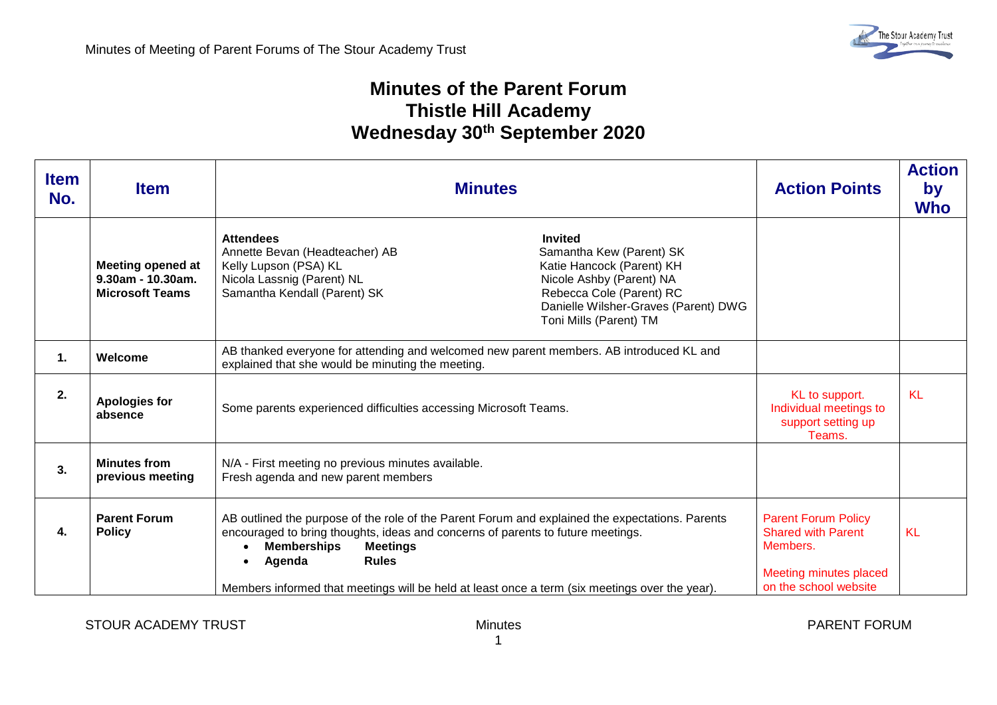## **Minutes of the Parent Forum Thistle Hill Academy Wednesday 30th September 2020**

| <b>Item</b><br>No. | <b>Item</b>                                                             | <b>Minutes</b>                                                                                                                                                                                                                                                                                                                                          | <b>Action Points</b>                                                                                                   | <b>Action</b><br>by<br><b>Who</b> |
|--------------------|-------------------------------------------------------------------------|---------------------------------------------------------------------------------------------------------------------------------------------------------------------------------------------------------------------------------------------------------------------------------------------------------------------------------------------------------|------------------------------------------------------------------------------------------------------------------------|-----------------------------------|
|                    | <b>Meeting opened at</b><br>9.30am - 10.30am.<br><b>Microsoft Teams</b> | <b>Attendees</b><br><b>Invited</b><br>Annette Bevan (Headteacher) AB<br>Samantha Kew (Parent) SK<br>Kelly Lupson (PSA) KL<br>Katie Hancock (Parent) KH<br>Nicola Lassnig (Parent) NL<br>Nicole Ashby (Parent) NA<br>Rebecca Cole (Parent) RC<br>Samantha Kendall (Parent) SK<br>Danielle Wilsher-Graves (Parent) DWG<br>Toni Mills (Parent) TM          |                                                                                                                        |                                   |
| $\mathbf 1$ .      | Welcome                                                                 | AB thanked everyone for attending and welcomed new parent members. AB introduced KL and<br>explained that she would be minuting the meeting.                                                                                                                                                                                                            |                                                                                                                        |                                   |
| 2.                 | <b>Apologies for</b><br>absence                                         | Some parents experienced difficulties accessing Microsoft Teams.                                                                                                                                                                                                                                                                                        | KL to support.<br>Individual meetings to<br>support setting up<br>Teams.                                               | <b>KL</b>                         |
| 3.                 | <b>Minutes from</b><br>previous meeting                                 | N/A - First meeting no previous minutes available.<br>Fresh agenda and new parent members                                                                                                                                                                                                                                                               |                                                                                                                        |                                   |
| 4.                 | <b>Parent Forum</b><br><b>Policy</b>                                    | AB outlined the purpose of the role of the Parent Forum and explained the expectations. Parents<br>encouraged to bring thoughts, ideas and concerns of parents to future meetings.<br><b>Memberships</b><br><b>Meetings</b><br>Agenda<br><b>Rules</b><br>Members informed that meetings will be held at least once a term (six meetings over the year). | <b>Parent Forum Policy</b><br><b>Shared with Parent</b><br>Members.<br>Meeting minutes placed<br>on the school website | KL                                |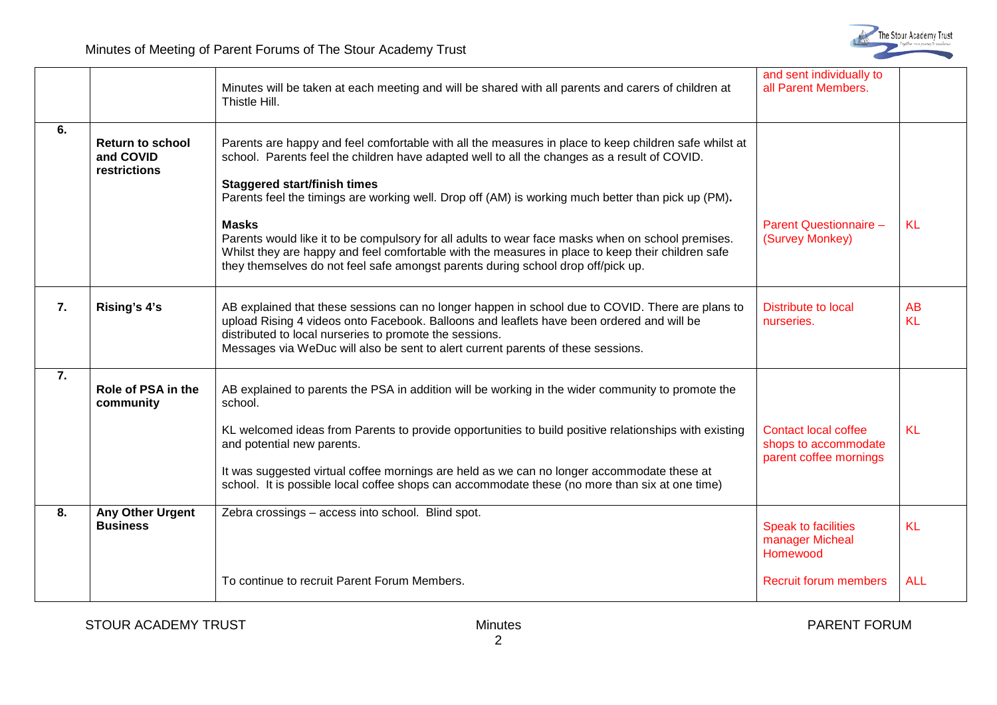

|    |                                                      | Minutes will be taken at each meeting and will be shared with all parents and carers of children at<br>Thistle Hill.                                                                                                                                                                                                                                                                                                                                | and sent individually to<br>all Parent Members.                               |                        |
|----|------------------------------------------------------|-----------------------------------------------------------------------------------------------------------------------------------------------------------------------------------------------------------------------------------------------------------------------------------------------------------------------------------------------------------------------------------------------------------------------------------------------------|-------------------------------------------------------------------------------|------------------------|
| 6. | <b>Return to school</b><br>and COVID<br>restrictions | Parents are happy and feel comfortable with all the measures in place to keep children safe whilst at<br>school. Parents feel the children have adapted well to all the changes as a result of COVID.<br><b>Staggered start/finish times</b><br>Parents feel the timings are working well. Drop off (AM) is working much better than pick up (PM).                                                                                                  |                                                                               |                        |
|    |                                                      | <b>Masks</b><br>Parents would like it to be compulsory for all adults to wear face masks when on school premises.<br>Whilst they are happy and feel comfortable with the measures in place to keep their children safe<br>they themselves do not feel safe amongst parents during school drop off/pick up.                                                                                                                                          | Parent Questionnaire -<br>(Survey Monkey)                                     | <b>KL</b>              |
| 7. | Rising's 4's                                         | AB explained that these sessions can no longer happen in school due to COVID. There are plans to<br>upload Rising 4 videos onto Facebook. Balloons and leaflets have been ordered and will be<br>distributed to local nurseries to promote the sessions.<br>Messages via WeDuc will also be sent to alert current parents of these sessions.                                                                                                        | <b>Distribute to local</b><br>nurseries.                                      | <b>AB</b><br><b>KL</b> |
| 7. | Role of PSA in the<br>community                      | AB explained to parents the PSA in addition will be working in the wider community to promote the<br>school.<br>KL welcomed ideas from Parents to provide opportunities to build positive relationships with existing<br>and potential new parents.<br>It was suggested virtual coffee mornings are held as we can no longer accommodate these at<br>school. It is possible local coffee shops can accommodate these (no more than six at one time) | <b>Contact local coffee</b><br>shops to accommodate<br>parent coffee mornings | <b>KL</b>              |
| 8. | Any Other Urgent<br><b>Business</b>                  | Zebra crossings - access into school. Blind spot.                                                                                                                                                                                                                                                                                                                                                                                                   | <b>Speak to facilities</b><br>manager Micheal<br>Homewood                     | KL                     |
|    |                                                      | To continue to recruit Parent Forum Members.                                                                                                                                                                                                                                                                                                                                                                                                        | <b>Recruit forum members</b>                                                  | <b>ALL</b>             |